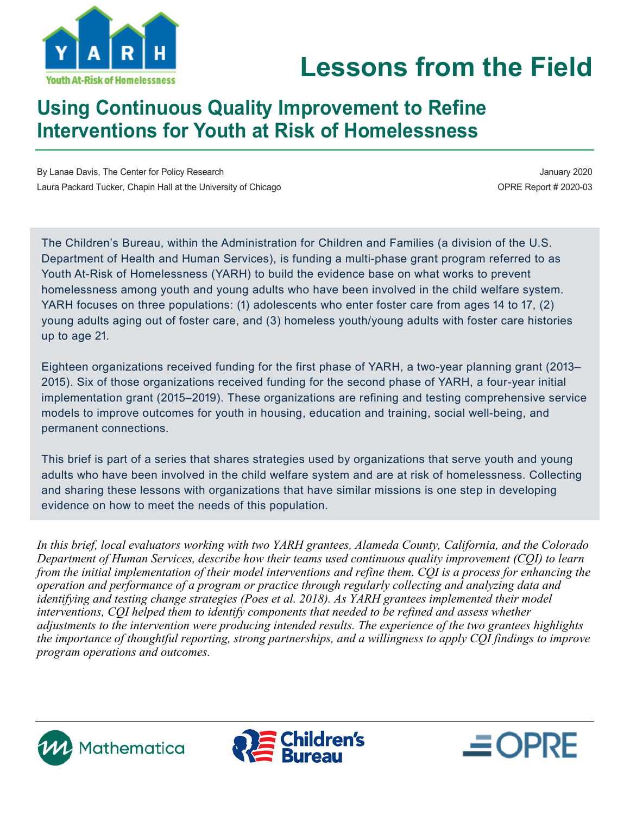

# **Lessons from the Field**

## **Using Continuous Quality Improvement to Refine Interventions for Youth at Risk of Homelessness**

By Lanae Davis, The Center for Policy Research **January 2020 January 2020** Laura Packard Tucker, Chapin Hall at the University of Chicago **OPR 1999** COPRE Report # 2020-03

 $\equiv$  OPRE

The Children's Bureau, within the Administration for Children and Families (a division of the U.S. Department of Health and Human Services), is funding a multi-phase grant program referred to as Youth At-Risk of Homelessness (YARH) to build the evidence base on what works to prevent homelessness among youth and young adults who have been involved in the child welfare system. YARH focuses on three populations: (1) adolescents who enter foster care from ages 14 to 17, (2) young adults aging out of foster care, and (3) homeless youth/young adults with foster care histories up to age 21.

Eighteen organizations received funding for the first phase of YARH, a two-year planning grant (2013– 2015). Six of those organizations received funding for the second phase of YARH, a four-year initial implementation grant (2015–2019). These organizations are refining and testing comprehensive service models to improve outcomes for youth in housing, education and training, social well-being, and permanent connections.

This brief is part of a series that shares strategies used by organizations that serve youth and young adults who have been involved in the child welfare system and are at risk of homelessness. Collecting and sharing these lessons with organizations that have similar missions is one step in developing evidence on how to meet the needs of this population.

*In this brief, local evaluators working with two YARH grantees, Alameda County, California, and the Colorado Department of Human Services, describe how their teams used continuous quality improvement (CQI) to learn from the initial implementation of their model interventions and refine them. CQI is a process for enhancing the operation and performance of a program or practice through regularly collecting and analyzing data and identifying and testing change strategies (Poes et al. 2018). As YARH grantees implemented their model interventions, CQI helped them to identify components that needed to be refined and assess whether adjustments to the intervention were producing intended results. The experience of the two grantees highlights the importance of thoughtful reporting, strong partnerships, and a willingness to apply CQI findings to improve program operations and outcomes.*



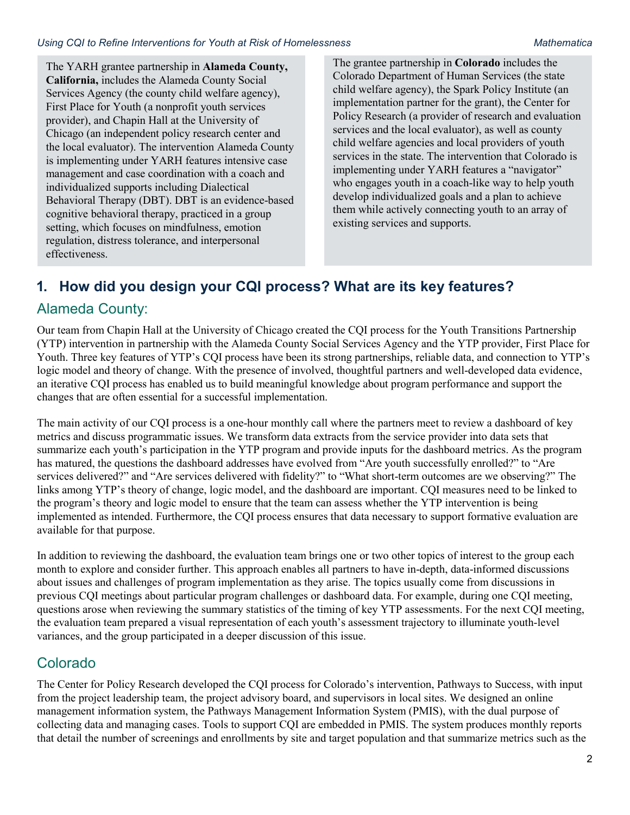The YARH grantee partnership in **Alameda County, California,** includes the Alameda County Social Services Agency (the county child welfare agency), First Place for Youth (a nonprofit youth services provider), and Chapin Hall at the University of Chicago (an independent policy research center and the local evaluator). The intervention Alameda County is implementing under YARH features intensive case management and case coordination with a coach and individualized supports including Dialectical Behavioral Therapy (DBT). DBT is an evidence-based cognitive behavioral therapy, practiced in a group setting, which focuses on mindfulness, emotion regulation, distress tolerance, and interpersonal effectiveness.

The grantee partnership in **Colorado** includes the Colorado Department of Human Services (the state child welfare agency), the Spark Policy Institute (an implementation partner for the grant), the Center for Policy Research (a provider of research and evaluation services and the local evaluator), as well as county child welfare agencies and local providers of youth services in the state. The intervention that Colorado is implementing under YARH features a "navigator" who engages youth in a coach-like way to help youth develop individualized goals and a plan to achieve them while actively connecting youth to an array of existing services and supports.

## **1. How did you design your CQI process? What are its key features?**

### Alameda County:

Our team from Chapin Hall at the University of Chicago created the CQI process for the Youth Transitions Partnership (YTP) intervention in partnership with the Alameda County Social Services Agency and the YTP provider, First Place for Youth. Three key features of YTP's CQI process have been its strong partnerships, reliable data, and connection to YTP's logic model and theory of change. With the presence of involved, thoughtful partners and well-developed data evidence, an iterative CQI process has enabled us to build meaningful knowledge about program performance and support the changes that are often essential for a successful implementation.

The main activity of our CQI process is a one-hour monthly call where the partners meet to review a dashboard of key metrics and discuss programmatic issues. We transform data extracts from the service provider into data sets that summarize each youth's participation in the YTP program and provide inputs for the dashboard metrics. As the program has matured, the questions the dashboard addresses have evolved from "Are youth successfully enrolled?" to "Are services delivered?" and "Are services delivered with fidelity?" to "What short-term outcomes are we observing?" The links among YTP's theory of change, logic model, and the dashboard are important. CQI measures need to be linked to the program's theory and logic model to ensure that the team can assess whether the YTP intervention is being implemented as intended. Furthermore, the CQI process ensures that data necessary to support formative evaluation are available for that purpose.

In addition to reviewing the dashboard, the evaluation team brings one or two other topics of interest to the group each month to explore and consider further. This approach enables all partners to have in-depth, data-informed discussions about issues and challenges of program implementation as they arise. The topics usually come from discussions in previous CQI meetings about particular program challenges or dashboard data. For example, during one CQI meeting, questions arose when reviewing the summary statistics of the timing of key YTP assessments. For the next CQI meeting, the evaluation team prepared a visual representation of each youth's assessment trajectory to illuminate youth-level variances, and the group participated in a deeper discussion of this issue.

## Colorado

The Center for Policy Research developed the CQI process for Colorado's intervention, Pathways to Success, with input from the project leadership team, the project advisory board, and supervisors in local sites. We designed an online management information system, the Pathways Management Information System (PMIS), with the dual purpose of collecting data and managing cases. Tools to support CQI are embedded in PMIS. The system produces monthly reports that detail the number of screenings and enrollments by site and target population and that summarize metrics such as the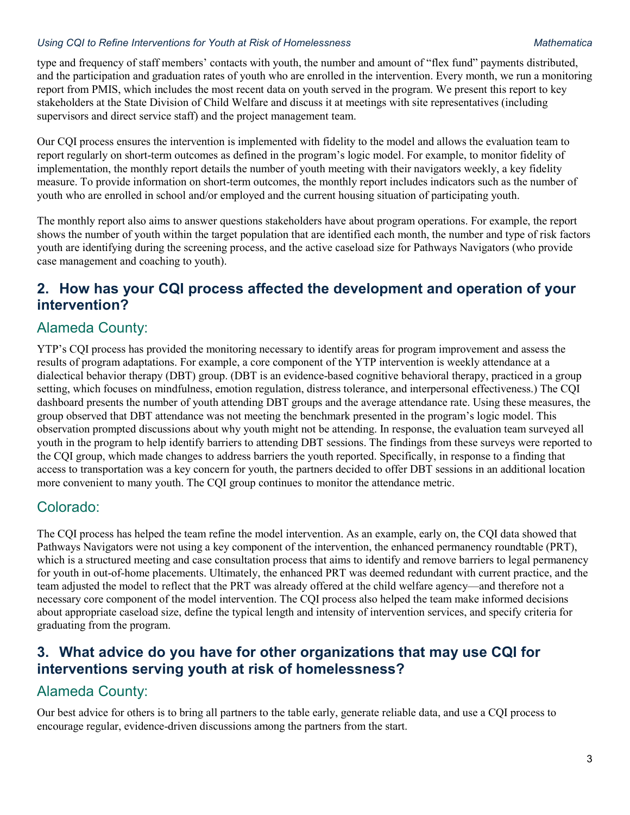#### *Using CQI to Refine Interventions for Youth at Risk of Homelessness Mathematica*

type and frequency of staff members' contacts with youth, the number and amount of "flex fund" payments distributed, and the participation and graduation rates of youth who are enrolled in the intervention. Every month, we run a monitoring report from PMIS, which includes the most recent data on youth served in the program. We present this report to key stakeholders at the State Division of Child Welfare and discuss it at meetings with site representatives (including supervisors and direct service staff) and the project management team.

Our CQI process ensures the intervention is implemented with fidelity to the model and allows the evaluation team to report regularly on short-term outcomes as defined in the program's logic model. For example, to monitor fidelity of implementation, the monthly report details the number of youth meeting with their navigators weekly, a key fidelity measure. To provide information on short-term outcomes, the monthly report includes indicators such as the number of youth who are enrolled in school and/or employed and the current housing situation of participating youth.

The monthly report also aims to answer questions stakeholders have about program operations. For example, the report shows the number of youth within the target population that are identified each month, the number and type of risk factors youth are identifying during the screening process, and the active caseload size for Pathways Navigators (who provide case management and coaching to youth).

### **2. How has your CQI process affected the development and operation of your intervention?**

### Alameda County:

YTP's CQI process has provided the monitoring necessary to identify areas for program improvement and assess the results of program adaptations. For example, a core component of the YTP intervention is weekly attendance at a dialectical behavior therapy (DBT) group. (DBT is an evidence-based cognitive behavioral therapy, practiced in a group setting, which focuses on mindfulness, emotion regulation, distress tolerance, and interpersonal effectiveness.) The CQI dashboard presents the number of youth attending DBT groups and the average attendance rate. Using these measures, the group observed that DBT attendance was not meeting the benchmark presented in the program's logic model. This observation prompted discussions about why youth might not be attending. In response, the evaluation team surveyed all youth in the program to help identify barriers to attending DBT sessions. The findings from these surveys were reported to the CQI group, which made changes to address barriers the youth reported. Specifically, in response to a finding that access to transportation was a key concern for youth, the partners decided to offer DBT sessions in an additional location more convenient to many youth. The CQI group continues to monitor the attendance metric.

#### Colorado:

The CQI process has helped the team refine the model intervention. As an example, early on, the CQI data showed that Pathways Navigators were not using a key component of the intervention, the enhanced permanency roundtable (PRT), which is a structured meeting and case consultation process that aims to identify and remove barriers to legal permanency for youth in out-of-home placements. Ultimately, the enhanced PRT was deemed redundant with current practice, and the team adjusted the model to reflect that the PRT was already offered at the child welfare agency—and therefore not a necessary core component of the model intervention. The CQI process also helped the team make informed decisions about appropriate caseload size, define the typical length and intensity of intervention services, and specify criteria for graduating from the program.

### **3. What advice do you have for other organizations that may use CQI for interventions serving youth at risk of homelessness?**

#### Alameda County:

Our best advice for others is to bring all partners to the table early, generate reliable data, and use a CQI process to encourage regular, evidence-driven discussions among the partners from the start.